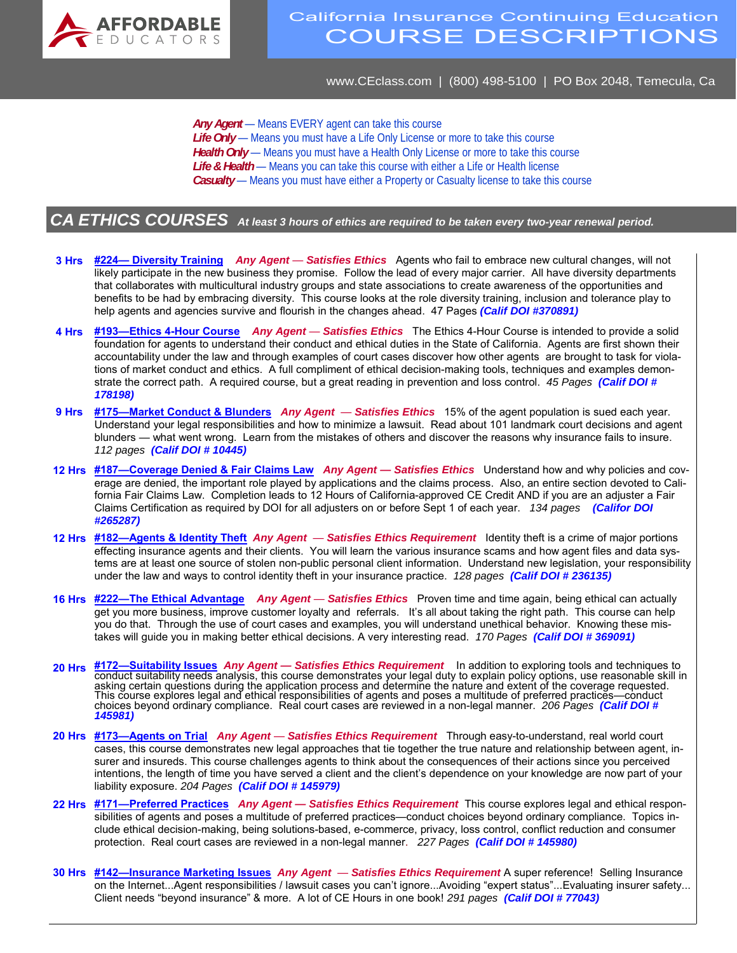

## California Insurance Continuing Education COURSE DESCRIPTIONS

www.CEclass.com | (800) 498-5100 | PO Box 2048, Temecula, Ca

Any Agent – Means EVERY agent can take this course Life Only - Means you must have a Life Only License or more to take this course *Health Only* — Means you must have a Health Only License or more to take this course Life & Health — Means you can take this course with either a Life or Health license *Casualty* — Means you must have either a Property or Casualty license to take this course

## *CA ETHICS COURSES At least 3 hours of ethics are required to be taken every two-year renewal period.*

- **3 Hrs #224— Diversity Training** *Any Agent Satisfies Ethics* Agents who fail to embrace new cultural changes, will not likely participate in the new business they promise. Follow the lead of every major carrier. All have diversity departments that collaborates with multicultural industry groups and state associations to create awareness of the opportunities and benefits to be had by embracing diversity. This course looks at the role diversity training, inclusion and tolerance play to help agents and agencies survive and flourish in the changes ahead. 47 Pages *(Calif DOI #370891)*
- **4 Hrs #193—Ethics 4-Hour Course** *Any Agent Satisfies Ethics* The Ethics 4-Hour Course is intended to provide a solid foundation for agents to understand their conduct and ethical duties in the State of California. Agents are first shown their accountability under the law and through examples of court cases discover how other agents are brought to task for violations of market conduct and ethics. A full compliment of ethical decision-making tools, techniques and examples demonstrate the correct path. A required course, but a great reading in prevention and loss control. *45 Pages (Calif DOI # 178198)*
- **9 Hrs #175—Market Conduct & Blunders** *Any Agent Satisfies Ethics* 15% of the agent population is sued each year. Understand your legal responsibilities and how to minimize a lawsuit. Read about 101 landmark court decisions and agent blunders — what went wrong. Learn from the mistakes of others and discover the reasons why insurance fails to insure. *112 pages (Calif DOI # 10445)*
- **12 Hrs #187—Coverage Denied & Fair Claims Law** *Any Agent Satisfies Ethics* Understand how and why policies and coverage are denied, the important role played by applications and the claims process. Also, an entire section devoted to California Fair Claims Law. Completion leads to 12 Hours of California-approved CE Credit AND if you are an adjuster a Fair Claims Certification as required by DOI for all adjusters on or before Sept 1 of each year. *134 pages (Califor DOI #265287)*
- **12 Hrs #182—Agents & Identity Theft** *Any Agent Satisfies Ethics Requirement* Identity theft is a crime of major portions effecting insurance agents and their clients. You will learn the various insurance scams and how agent files and data systems are at least one source of stolen non-public personal client information. Understand new legislation, your responsibility under the law and ways to control identity theft in your insurance practice. *128 pages (Calif DOI # 236135)*
- **16 Hrs #222—The Ethical Advantage** *Any Agent Satisfies Ethics* Proven time and time again, being ethical can actually get you more business, improve customer loyalty and referrals. It's all about taking the right path. This course can help you do that. Through the use of court cases and examples, you will understand unethical behavior. Knowing these mistakes will guide you in making better ethical decisions. A very interesting read. *170 Pages (Calif DOI # 369091)*
- **20 Hrs #172—Suitability Issues** *Any Agent Satisfies Ethics Requirement* In addition to exploring tools and techniques to conduct suitability needs analysis, this course demonstrates your legal duty to explain policy options, use reasonable skill in asking certain questions during the application process and determine the nature and extent of the coverage requested.<br>This course explores legal and ethical responsibilities of agents and poses a multitude of preferred pr choices beyond ordinarỹ compliance. Real court cases arẽ reviewed in a non-legal manner. 2*06 Pages (Calif DOI #*<br>1**45981)**
- **20 Hrs #173—Agents on Trial** *Any Agent Satisfies Ethics Requirement* Through easy-to-understand, real world court cases, this course demonstrates new legal approaches that tie together the true nature and relationship between agent, insurer and insureds. This course challenges agents to think about the consequences of their actions since you perceived intentions, the length of time you have served a client and the client's dependence on your knowledge are now part of your liability exposure. *204 Pages (Calif DOI # 145979)*
- **22 Hrs #171—Preferred Practices** *Any Agent Satisfies Ethics Requirement* This course explores legal and ethical responsibilities of agents and poses a multitude of preferred practices—conduct choices beyond ordinary compliance. Topics include ethical decision-making, being solutions-based, e-commerce, privacy, loss control, conflict reduction and consumer protection. Real court cases are reviewed in a non-legal manner. *227 Pages (Calif DOI # 145980)*
- **30 Hrs #142—Insurance Marketing Issues** *Any Agent Satisfies Ethics Requirement* A super reference! Selling Insurance on the Internet...Agent responsibilities / lawsuit cases you can't ignore...Avoiding "expert status"...Evaluating insurer safety... Client needs "beyond insurance" & more. A lot of CE Hours in one book! *291 pages (Calif DOI # 77043)*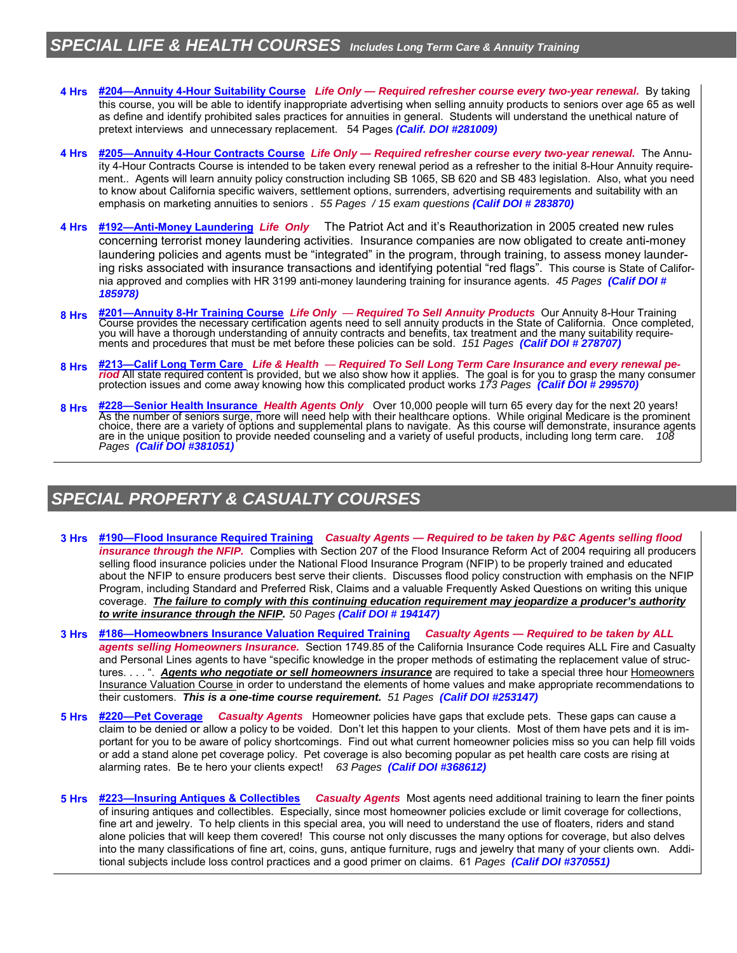## *SPECIAL LIFE & HEALTH COURSES Includes Long Term Care & Annuity Training*

- **4 Hrs #204—Annuity 4-Hour Suitability Course** *Life Only Required refresher course every two-year renewal.* By taking this course, you will be able to identify inappropriate advertising when selling annuity products to seniors over age 65 as well as define and identify prohibited sales practices for annuities in general. Students will understand the unethical nature of pretext interviews and unnecessary replacement. 54 Pages *(Calif. DOI #281009)*
- **4 Hrs #205—Annuity 4-Hour Contracts Course** *Life Only Required refresher course every two-year renewal.*The Annuity 4-Hour Contracts Course is intended to be taken every renewal period as a refresher to the initial 8-Hour Annuity requirement.. Agents will learn annuity policy construction including SB 1065, SB 620 and SB 483 legislation. Also, what you need to know about California specific waivers, settlement options, surrenders, advertising requirements and suitability with an emphasis on marketing annuities to seniors . *55 Pages / 15 exam questions (Calif DOI # 283870)*
- **4 Hrs #192—Anti-Money Laundering** *Life Only* The Patriot Act and it's Reauthorization in 2005 created new rules concerning terrorist money laundering activities. Insurance companies are now obligated to create anti-money laundering policies and agents must be "integrated" in the program, through training, to assess money laundering risks associated with insurance transactions and identifying potential "red flags". This course is State of California approved and complies with HR 3199 anti-money laundering training for insurance agents. *45 Pages (Calif DOI # 185978)*
- **8 Hrs #201—Annuity 8-Hr Training Course** *Life Only Required To Sell Annuity Products* Our Annuity 8-Hour Training Course provides the necessary certification agents need to sell annuity products in the State of California. Once completed,<br>you will have a thorough understanding of annuity contracts and benefits, tax treatment and the
- **8 Hrs #213—Calif Long Term Care** *Life & Health Required To Sell Long Term Care Insurance and every renewal period* All state required content is provided, but we also show how it applies. The goal is for you to grasp the many consumer protection issues and come away knowing how this complicated product works *173 Pages (Calif DOI # 299570)*
- **8 Hrs #228—Senior Health Insurance** *Health Agents Only* Over 10,000 people will turn 65 every day for the next 20 years! As the number of seniors surge, more will need help with their healthcare options. While original Medicare is the prominent<br>choice, there are a variety of options and supplemental plans to navigate. As this course will d *Pages (Calif DOI #381051)*

## *SPECIAL PROPERTY & CASUALTY COURSES*

- **3 Hrs #190—Flood Insurance Required Training** *Casualty Agents Required to be taken by P&C Agents selling flood insurance through the NFIP.* Complies with Section 207 of the Flood Insurance Reform Act of 2004 requiring all producers selling flood insurance policies under the National Flood Insurance Program (NFIP) to be properly trained and educated about the NFIP to ensure producers best serve their clients. Discusses flood policy construction with emphasis on the NFIP Program, including Standard and Preferred Risk, Claims and a valuable Frequently Asked Questions on writing this unique coverage. *The failure to comply with this continuing education requirement may jeopardize a producer's authority to write insurance through the NFIP. 50 Pages (Calif DOI # 194147)*
- **3 Hrs #186—Homeowbners Insurance Valuation Required Training** *Casualty Agents Required to be taken by ALL agents selling Homeowners Insurance.* Section 1749.85 of the California Insurance Code requires ALL Fire and Casualty and Personal Lines agents to have "specific knowledge in the proper methods of estimating the replacement value of structures. . . . ". **Agents who negotiate or sell homeowners insurance** are required to take a special three hour Homeowners Insurance Valuation Course in order to understand the elements of home values and make appropriate recommendations to their customers. *This is a one-time course requirement. 51 Pages (Calif DOI #253147)*
- **5 Hrs #220—Pet Coverage** *Casualty Agents* Homeowner policies have gaps that exclude pets. These gaps can cause a claim to be denied or allow a policy to be voided. Don't let this happen to your clients. Most of them have pets and it is important for you to be aware of policy shortcomings. Find out what current homeowner policies miss so you can help fill voids or add a stand alone pet coverage policy. Pet coverage is also becoming popular as pet health care costs are rising at alarming rates. Be te hero your clients expect! *63 Pages (Calif DOI #368612)*
- **5 Hrs #223—Insuring Antiques & Collectibles** *Casualty Agents* Most agents need additional training to learn the finer points of insuring antiques and collectibles. Especially, since most homeowner policies exclude or limit coverage for collections, fine art and jewelry. To help clients in this special area, you will need to understand the use of floaters, riders and stand alone policies that will keep them covered! This course not only discusses the many options for coverage, but also delves into the many classifications of fine art, coins, guns, antique furniture, rugs and jewelry that many of your clients own. Additional subjects include loss control practices and a good primer on claims. 61 *Pages (Calif DOI #370551)*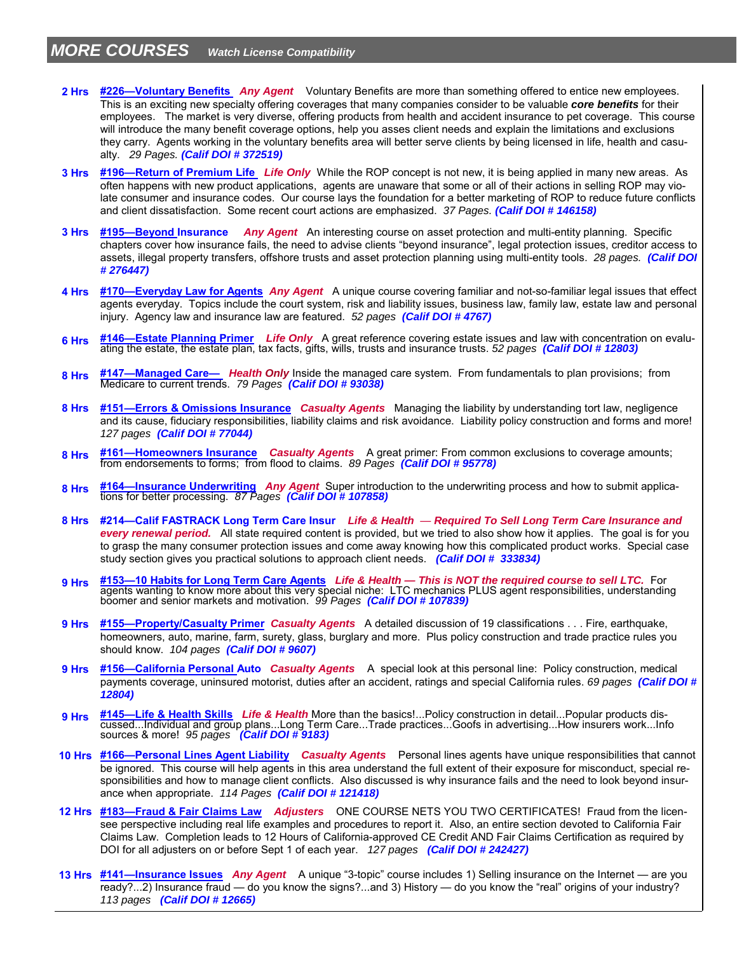- **2 Hrs #226—Voluntary Benefits** *Any Agent* Voluntary Benefits are more than something offered to entice new employees. This is an exciting new specialty offering coverages that many companies consider to be valuable *core benefits* for their employees. The market is very diverse, offering products from health and accident insurance to pet coverage. This course will introduce the many benefit coverage options, help you asses client needs and explain the limitations and exclusions they carry. Agents working in the voluntary benefits area will better serve clients by being licensed in life, health and casualty. *29 Pages. (Calif DOI # 372519)*
- **3 Hrs #196—Return of Premium Life** *Life Only* While the ROP concept is not new, it is being applied in many new areas. As often happens with new product applications, agents are unaware that some or all of their actions in selling ROP may violate consumer and insurance codes. Our course lays the foundation for a better marketing of ROP to reduce future conflicts and client dissatisfaction. Some recent court actions are emphasized. *37 Pages. (Calif DOI # 146158)*
- **3 Hrs #195—Beyond Insurance** *Any Agent*An interesting course on asset protection and multi-entity planning. Specific chapters cover how insurance fails, the need to advise clients "beyond insurance", legal protection issues, creditor access to assets, illegal property transfers, offshore trusts and asset protection planning using multi-entity tools. *28 pages. (Calif DOI # 276447)*
- **4 Hrs #170—Everyday Law for Agents** *Any Agent* A unique course covering familiar and not-so-familiar legal issues that effect agents everyday. Topics include the court system, risk and liability issues, business law, family law, estate law and personal injury. Agency law and insurance law are featured. *52 pages (Calif DOI # 4767)*
- 6 Hrs #146—Estate Planning Primer Life Only A great reference covering estate issues and law with concentration on evalu-<br>ating the estate, the estate plan, tax facts, gifts, wills, trusts and insurance trusts. 52 pages (C
- **8 Hrs #147—Managed Care—** *Health Only* Inside the managed care system. From fundamentals to plan provisions; from Medicare to current trends. *79 Pages (Calif DOI # 93038)*
- **8 Hrs #151—Errors & Omissions Insurance** *Casualty Agents* Managing the liability by understanding tort law, negligence and its cause, fiduciary responsibilities, liability claims and risk avoidance. Liability policy construction and forms and more! *127 pages (Calif DOI # 77044)*
- **8 Hrs #161—Homeowners Insurance** *Casualty Agents* A great primer: From common exclusions to coverage amounts; from endorsements to forms; from flood to claims. *89 Pages (Calif DOI # 95778)*
- 8 Hrs #164—Insurance Underwriting Any Agent Super introduction to the underwriting process and how to submit applications for better processing. *87 Pages (Calif DOI # 107858)*
- **8 Hrs #214—Calif FASTRACK Long Term Care Insur** *Life & Health Required To Sell Long Term Care Insurance and every renewal period.* All state required content is provided, but we tried to also show how it applies. The goal is for you to grasp the many consumer protection issues and come away knowing how this complicated product works. Special case study section gives you practical solutions to approach client needs. *(Calif DOI # 333834)*
- **9 Hrs #153—10 Habits for Long Term Care Agents** *Life & Health This is NOT the required course to sell LTC.*For agents wanting to know more about this very special niche: LTC mechanics PLUS agent responsibilities, understanding boomer and senior markets and motivation. *99 Pages (Calif DOI # 107839)*
- **9 Hrs #155—Property/Casualty Primer** *Casualty Agents* A detailed discussion of 19 classifications . . . Fire, earthquake, homeowners, auto, marine, farm, surety, glass, burglary and more. Plus policy construction and trade practice rules you should know. *104 pages (Calif DOI # 9607)*
- **9 Hrs #156—California Personal Auto** *Casualty Agents* A special look at this personal line: Policy construction, medical payments coverage, uninsured motorist, duties after an accident, ratings and special California rules. *69 pages (Calif DOI # 12804)*
- **9 Hrs #145—Life & Health Skills** *Life & Health* More than the basics!...Policy construction in detail...Popular products discussed...Individual and group plans...Long Term Care...Trade practices...Goofs in advertising...How insurers work...Info<br>sources & more! *95 pages <mark>(Calif DOI # 9183)</mark>*
- **10 Hrs #166—Personal Lines Agent Liability** *Casualty Agents*Personal lines agents have unique responsibilities that cannot be ignored. This course will help agents in this area understand the full extent of their exposure for misconduct, special responsibilities and how to manage client conflicts. Also discussed is why insurance fails and the need to look beyond insurance when appropriate. *114 Pages (Calif DOI # 121418)*
- **12 Hrs #183—Fraud & Fair Claims Law** *Adjusters* ONE COURSE NETS YOU TWO CERTIFICATES! Fraud from the licensee perspective including real life examples and procedures to report it. Also, an entire section devoted to California Fair Claims Law. Completion leads to 12 Hours of California-approved CE Credit AND Fair Claims Certification as required by DOI for all adjusters on or before Sept 1 of each year. *127 pages (Calif DOI # 242427)*
- **13 Hrs #141—Insurance Issues** *Any Agent* A unique "3-topic" course includes 1) Selling insurance on the Internet are you ready?...2) Insurance fraud — do you know the signs?...and 3) History — do you know the "real" origins of your industry? *113 pages (Calif DOI # 12665)*